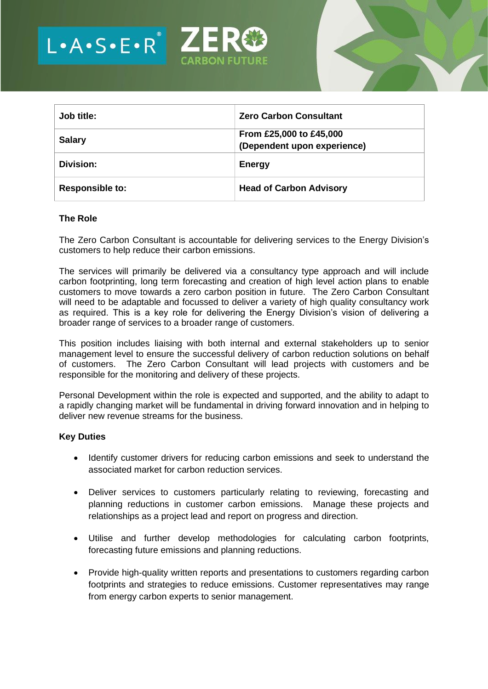



| Job title:             | <b>Zero Carbon Consultant</b>                          |
|------------------------|--------------------------------------------------------|
| <b>Salary</b>          | From £25,000 to £45,000<br>(Dependent upon experience) |
| Division:              | <b>Energy</b>                                          |
| <b>Responsible to:</b> | <b>Head of Carbon Advisory</b>                         |

#### **The Role**

The Zero Carbon Consultant is accountable for delivering services to the Energy Division's customers to help reduce their carbon emissions.

The services will primarily be delivered via a consultancy type approach and will include carbon footprinting, long term forecasting and creation of high level action plans to enable customers to move towards a zero carbon position in future. The Zero Carbon Consultant will need to be adaptable and focussed to deliver a variety of high quality consultancy work as required. This is a key role for delivering the Energy Division's vision of delivering a broader range of services to a broader range of customers.

This position includes liaising with both internal and external stakeholders up to senior management level to ensure the successful delivery of carbon reduction solutions on behalf of customers. The Zero Carbon Consultant will lead projects with customers and be responsible for the monitoring and delivery of these projects.

Personal Development within the role is expected and supported, and the ability to adapt to a rapidly changing market will be fundamental in driving forward innovation and in helping to deliver new revenue streams for the business.

#### **Key Duties**

- Identify customer drivers for reducing carbon emissions and seek to understand the associated market for carbon reduction services.
- Deliver services to customers particularly relating to reviewing, forecasting and planning reductions in customer carbon emissions. Manage these projects and relationships as a project lead and report on progress and direction.
- Utilise and further develop methodologies for calculating carbon footprints, forecasting future emissions and planning reductions.
- Provide high-quality written reports and presentations to customers regarding carbon footprints and strategies to reduce emissions. Customer representatives may range from energy carbon experts to senior management.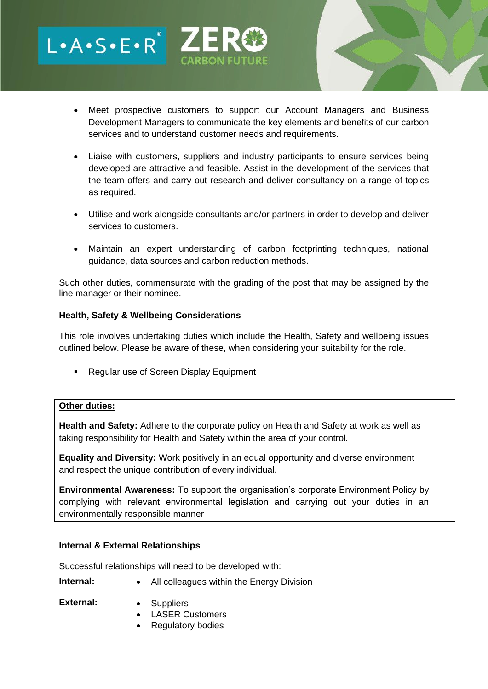- Meet prospective customers to support our Account Managers and Business Development Managers to communicate the key elements and benefits of our carbon services and to understand customer needs and requirements.
- Liaise with customers, suppliers and industry participants to ensure services being developed are attractive and feasible. Assist in the development of the services that the team offers and carry out research and deliver consultancy on a range of topics as required.
- Utilise and work alongside consultants and/or partners in order to develop and deliver services to customers.
- Maintain an expert understanding of carbon footprinting techniques, national guidance, data sources and carbon reduction methods.

Such other duties, commensurate with the grading of the post that may be assigned by the line manager or their nominee.

## **Health, Safety & Wellbeing Considerations**

L.A.S.E.R<sup>.</sup>ZI

This role involves undertaking duties which include the Health, Safety and wellbeing issues outlined below. Please be aware of these, when considering your suitability for the role.

■ Regular use of Screen Display Equipment

### **Other duties:**

**Health and Safety:** Adhere to the corporate policy on Health and Safety at work as well as taking responsibility for Health and Safety within the area of your control.

**Equality and Diversity:** Work positively in an equal opportunity and diverse environment and respect the unique contribution of every individual.

**Environmental Awareness:** To support the organisation's corporate Environment Policy by complying with relevant environmental legislation and carrying out your duties in an environmentally responsible manner

# **Internal & External Relationships**

Successful relationships will need to be developed with:

- **Internal:** All colleagues within the Energy Division
- **External:**  Suppliers
	- LASER Customers
	- Regulatory bodies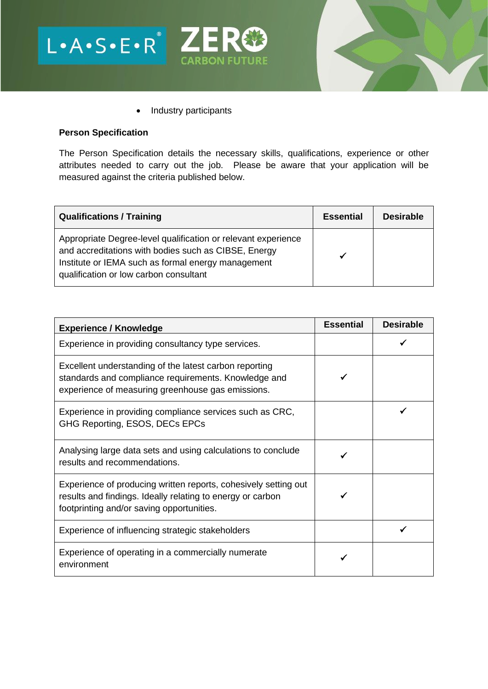



• Industry participants

### **Person Specification**

The Person Specification details the necessary skills, qualifications, experience or other attributes needed to carry out the job. Please be aware that your application will be measured against the criteria published below.

| <b>Qualifications / Training</b>                                                                                                                                                                                      | <b>Essential</b> | <b>Desirable</b> |
|-----------------------------------------------------------------------------------------------------------------------------------------------------------------------------------------------------------------------|------------------|------------------|
| Appropriate Degree-level qualification or relevant experience<br>and accreditations with bodies such as CIBSE, Energy<br>Institute or IEMA such as formal energy management<br>qualification or low carbon consultant |                  |                  |

| <b>Experience / Knowledge</b>                                                                                                                                              | <b>Essential</b> | <b>Desirable</b> |
|----------------------------------------------------------------------------------------------------------------------------------------------------------------------------|------------------|------------------|
| Experience in providing consultancy type services.                                                                                                                         |                  |                  |
| Excellent understanding of the latest carbon reporting<br>standards and compliance requirements. Knowledge and<br>experience of measuring greenhouse gas emissions.        |                  |                  |
| Experience in providing compliance services such as CRC,<br>GHG Reporting, ESOS, DECs EPCs                                                                                 |                  |                  |
| Analysing large data sets and using calculations to conclude<br>results and recommendations.                                                                               |                  |                  |
| Experience of producing written reports, cohesively setting out<br>results and findings. Ideally relating to energy or carbon<br>footprinting and/or saving opportunities. |                  |                  |
| Experience of influencing strategic stakeholders                                                                                                                           |                  |                  |
| Experience of operating in a commercially numerate<br>environment                                                                                                          |                  |                  |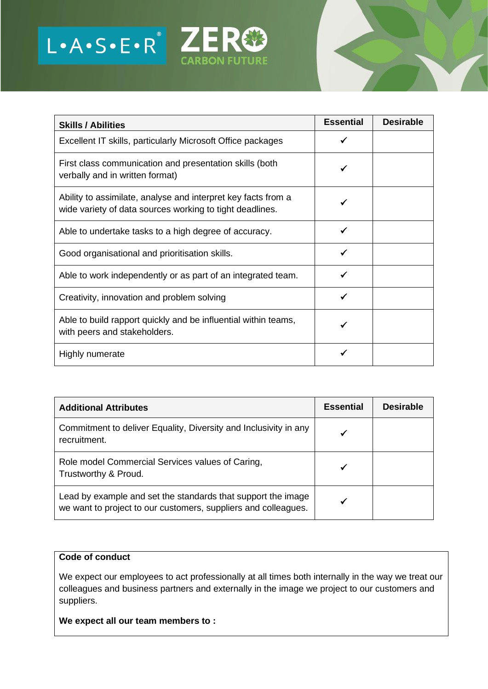

| <b>Skills / Abilities</b>                                                                                                 | <b>Essential</b> | <b>Desirable</b> |
|---------------------------------------------------------------------------------------------------------------------------|------------------|------------------|
| Excellent IT skills, particularly Microsoft Office packages                                                               |                  |                  |
| First class communication and presentation skills (both<br>verbally and in written format)                                |                  |                  |
| Ability to assimilate, analyse and interpret key facts from a<br>wide variety of data sources working to tight deadlines. |                  |                  |
| Able to undertake tasks to a high degree of accuracy.                                                                     |                  |                  |
| Good organisational and prioritisation skills.                                                                            |                  |                  |
| Able to work independently or as part of an integrated team.                                                              |                  |                  |
| Creativity, innovation and problem solving                                                                                |                  |                  |
| Able to build rapport quickly and be influential within teams,<br>with peers and stakeholders.                            |                  |                  |
| Highly numerate                                                                                                           |                  |                  |

| <b>Additional Attributes</b>                                                                                                   | <b>Essential</b> | <b>Desirable</b> |
|--------------------------------------------------------------------------------------------------------------------------------|------------------|------------------|
| Commitment to deliver Equality, Diversity and Inclusivity in any<br>recruitment.                                               |                  |                  |
| Role model Commercial Services values of Caring,<br>Trustworthy & Proud.                                                       | ✔                |                  |
| Lead by example and set the standards that support the image<br>we want to project to our customers, suppliers and colleagues. |                  |                  |

#### **Code of conduct**

We expect our employees to act professionally at all times both internally in the way we treat our colleagues and business partners and externally in the image we project to our customers and suppliers.

**We expect all our team members to :**